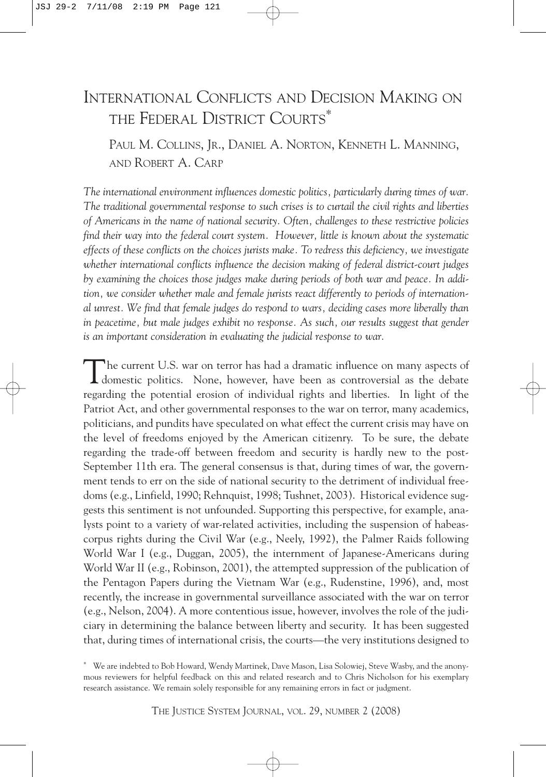# INTERNATIONAL CONFLICTS AND DECISION MAKING ON THE FEDERAL DISTRICT COURTS\*

PAUL M. COLLINS, JR., DANIEL A. NORTON, KENNETH L. MANNING, AND ROBERT A. CARP

*The international environment influences domestic politics, particularly during times of war. The traditional governmental response to such crises is to curtail the civil rights and liberties of Americans in the name of national security. Often, challenges to these restrictive policies find their way into the federal court system. However, little is known about the systematic effects of these conflicts on the choices jurists make. To redress this deficiency, we investigate whether international conflicts influence the decision making of federal district-court judges by examining the choices those judges make during periods of both war and peace. In addition, we consider whether male and female jurists react differently to periods of international unrest. We find that female judges do respond to wars, deciding cases more liberally than in peacetime, but male judges exhibit no response. As such, our results suggest that gender is an important consideration in evaluating the judicial response to war.*

he current U.S. war on terror has had a dramatic influence on many aspects of The current U.S. war on terror has had a dramatic influence on many aspects of domestic politics. None, however, have been as controversial as the debate regarding the potential erosion of individual rights and liberties. In light of the Patriot Act, and other governmental responses to the war on terror, many academics, politicians, and pundits have speculated on what effect the current crisis may have on the level of freedoms enjoyed by the American citizenry. To be sure, the debate regarding the trade-off between freedom and security is hardly new to the post-September 11th era. The general consensus is that, during times of war, the government tends to err on the side of national security to the detriment of individual freedoms (e.g., Linfield, 1990; Rehnquist, 1998; Tushnet, 2003). Historical evidence suggests this sentiment is not unfounded. Supporting this perspective, for example, analysts point to a variety of war-related activities, including the suspension of habeascorpus rights during the Civil War (e.g., Neely, 1992), the Palmer Raids following World War I (e.g., Duggan, 2005), the internment of Japanese-Americans during World War II (e.g., Robinson, 2001), the attempted suppression of the publication of the Pentagon Papers during the Vietnam War (e.g., Rudenstine, 1996), and, most recently, the increase in governmental surveillance associated with the war on terror (e.g., Nelson, 2004). A more contentious issue, however, involves the role of the judiciary in determining the balance between liberty and security. It has been suggested that, during times of international crisis, the courts—the very institutions designed to

THE JUSTICE SYSTEM JOURNAL, VOL. 29, NUMBER 2 (2008)

We are indebted to Bob Howard, Wendy Martinek, Dave Mason, Lisa Solowiej, Steve Wasby, and the anonymous reviewers for helpful feedback on this and related research and to Chris Nicholson for his exemplary research assistance. We remain solely responsible for any remaining errors in fact or judgment.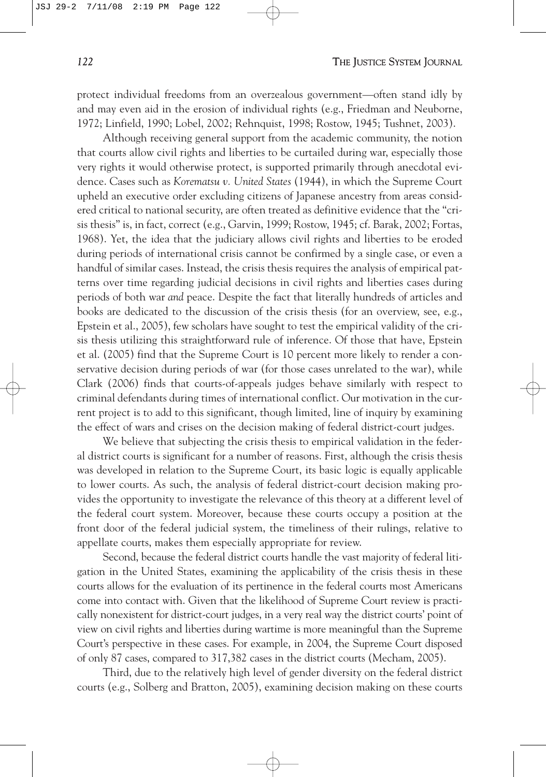protect individual freedoms from an overzealous government—often stand idly by and may even aid in the erosion of individual rights (e.g., Friedman and Neuborne, 1972; Linfield, 1990; Lobel, 2002; Rehnquist, 1998; Rostow, 1945; Tushnet, 2003).

Although receiving general support from the academic community, the notion that courts allow civil rights and liberties to be curtailed during war, especially those very rights it would otherwise protect, is supported primarily through anecdotal evidence. Cases such as *Korematsu v. United States* (1944), in which the Supreme Court upheld an executive order excluding citizens of Japanese ancestry from areas considered critical to national security, are often treated as definitive evidence that the "crisis thesis" is, in fact, correct (e.g., Garvin, 1999; Rostow, 1945; cf. Barak, 2002; Fortas, 1968). Yet, the idea that the judiciary allows civil rights and liberties to be eroded during periods of international crisis cannot be confirmed by a single case, or even a handful of similar cases. Instead, the crisis thesis requires the analysis of empirical patterns over time regarding judicial decisions in civil rights and liberties cases during periods of both war *and* peace. Despite the fact that literally hundreds of articles and books are dedicated to the discussion of the crisis thesis (for an overview, see, e.g., Epstein et al., 2005), few scholars have sought to test the empirical validity of the crisis thesis utilizing this straightforward rule of inference. Of those that have, Epstein et al. (2005) find that the Supreme Court is 10 percent more likely to render a conservative decision during periods of war (for those cases unrelated to the war), while Clark (2006) finds that courts-of-appeals judges behave similarly with respect to criminal defendants during times of international conflict. Our motivation in the current project is to add to this significant, though limited, line of inquiry by examining the effect of wars and crises on the decision making of federal district-court judges.

We believe that subjecting the crisis thesis to empirical validation in the federal district courts is significant for a number of reasons. First, although the crisis thesis was developed in relation to the Supreme Court, its basic logic is equally applicable to lower courts. As such, the analysis of federal district-court decision making provides the opportunity to investigate the relevance of this theory at a different level of the federal court system. Moreover, because these courts occupy a position at the front door of the federal judicial system, the timeliness of their rulings, relative to appellate courts, makes them especially appropriate for review.

Second, because the federal district courts handle the vast majority of federal litigation in the United States, examining the applicability of the crisis thesis in these courts allows for the evaluation of its pertinence in the federal courts most Americans come into contact with. Given that the likelihood of Supreme Court review is practically nonexistent for district-court judges, in a very real way the district courts' point of view on civil rights and liberties during wartime is more meaningful than the Supreme Court's perspective in these cases. For example, in 2004, the Supreme Court disposed of only 87 cases, compared to 317,382 cases in the district courts (Mecham, 2005).

Third, due to the relatively high level of gender diversity on the federal district courts (e.g., Solberg and Bratton, 2005), examining decision making on these courts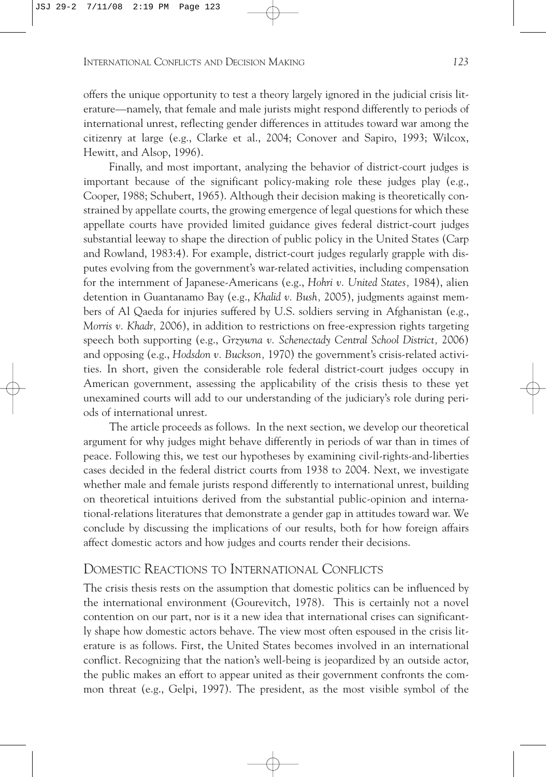offers the unique opportunity to test a theory largely ignored in the judicial crisis literature—namely, that female and male jurists might respond differently to periods of international unrest, reflecting gender differences in attitudes toward war among the citizenry at large (e.g., Clarke et al., 2004; Conover and Sapiro, 1993; Wilcox, Hewitt, and Alsop, 1996).

Finally, and most important, analyzing the behavior of district-court judges is important because of the significant policy-making role these judges play (e.g., Cooper, 1988; Schubert, 1965). Although their decision making is theoretically constrained by appellate courts, the growing emergence of legal questions for which these appellate courts have provided limited guidance gives federal district-court judges substantial leeway to shape the direction of public policy in the United States (Carp and Rowland, 1983:4). For example, district-court judges regularly grapple with disputes evolving from the government's war-related activities, including compensation for the internment of Japanese-Americans (e.g., *Hohri v. United States,* 1984), alien detention in Guantanamo Bay (e.g., *Khalid v. Bush,* 2005), judgments against members of Al Qaeda for injuries suffered by U.S. soldiers serving in Afghanistan (e.g., *Morris v. Khadr,* 2006), in addition to restrictions on free-expression rights targeting speech both supporting (e.g., *Grzywna v. Schenectady Central School District,* 2006) and opposing (e.g., *Hodsdon v. Buckson,* 1970) the government's crisis-related activities. In short, given the considerable role federal district-court judges occupy in American government, assessing the applicability of the crisis thesis to these yet unexamined courts will add to our understanding of the judiciary's role during periods of international unrest.

The article proceeds as follows. In the next section, we develop our theoretical argument for why judges might behave differently in periods of war than in times of peace. Following this, we test our hypotheses by examining civil-rights-and-liberties cases decided in the federal district courts from 1938 to 2004. Next, we investigate whether male and female jurists respond differently to international unrest, building on theoretical intuitions derived from the substantial public-opinion and international-relations literatures that demonstrate a gender gap in attitudes toward war. We conclude by discussing the implications of our results, both for how foreign affairs affect domestic actors and how judges and courts render their decisions.

# DOMESTIC REACTIONS TO INTERNATIONAL CONFLICTS

The crisis thesis rests on the assumption that domestic politics can be influenced by the international environment (Gourevitch, 1978). This is certainly not a novel contention on our part, nor is it a new idea that international crises can significantly shape how domestic actors behave. The view most often espoused in the crisis literature is as follows. First, the United States becomes involved in an international conflict. Recognizing that the nation's well-being is jeopardized by an outside actor, the public makes an effort to appear united as their government confronts the common threat (e.g., Gelpi, 1997). The president, as the most visible symbol of the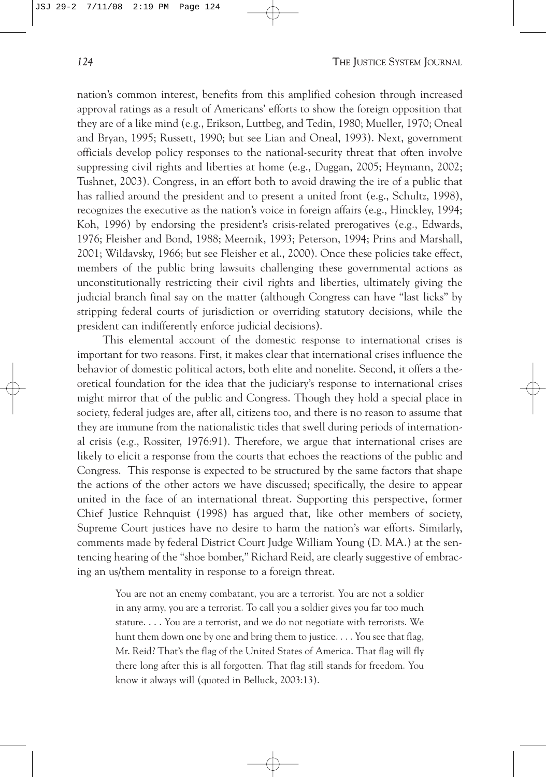nation's common interest, benefits from this amplified cohesion through increased approval ratings as a result of Americans' efforts to show the foreign opposition that they are of a like mind (e.g., Erikson, Luttbeg, and Tedin, 1980; Mueller, 1970; Oneal and Bryan, 1995; Russett, 1990; but see Lian and Oneal, 1993). Next, government officials develop policy responses to the national-security threat that often involve suppressing civil rights and liberties at home (e.g., Duggan, 2005; Heymann, 2002; Tushnet, 2003). Congress, in an effort both to avoid drawing the ire of a public that has rallied around the president and to present a united front (e.g., Schultz, 1998), recognizes the executive as the nation's voice in foreign affairs (e.g., Hinckley, 1994; Koh, 1996) by endorsing the president's crisis-related prerogatives (e.g., Edwards, 1976; Fleisher and Bond, 1988; Meernik, 1993; Peterson, 1994; Prins and Marshall, 2001; Wildavsky, 1966; but see Fleisher et al., 2000). Once these policies take effect, members of the public bring lawsuits challenging these governmental actions as unconstitutionally restricting their civil rights and liberties, ultimately giving the judicial branch final say on the matter (although Congress can have "last licks" by stripping federal courts of jurisdiction or overriding statutory decisions, while the president can indifferently enforce judicial decisions).

This elemental account of the domestic response to international crises is important for two reasons. First, it makes clear that international crises influence the behavior of domestic political actors, both elite and nonelite. Second, it offers a theoretical foundation for the idea that the judiciary's response to international crises might mirror that of the public and Congress. Though they hold a special place in society, federal judges are, after all, citizens too, and there is no reason to assume that they are immune from the nationalistic tides that swell during periods of international crisis (e.g., Rossiter, 1976:91). Therefore, we argue that international crises are likely to elicit a response from the courts that echoes the reactions of the public and Congress. This response is expected to be structured by the same factors that shape the actions of the other actors we have discussed; specifically, the desire to appear united in the face of an international threat. Supporting this perspective, former Chief Justice Rehnquist (1998) has argued that, like other members of society, Supreme Court justices have no desire to harm the nation's war efforts. Similarly, comments made by federal District Court Judge William Young (D. MA.) at the sentencing hearing of the "shoe bomber," Richard Reid, are clearly suggestive of embracing an us/them mentality in response to a foreign threat.

You are not an enemy combatant, you are a terrorist. You are not a soldier in any army, you are a terrorist. To call you a soldier gives you far too much stature. . . . You are a terrorist, and we do not negotiate with terrorists. We hunt them down one by one and bring them to justice. . . . You see that flag, Mr. Reid? That's the flag of the United States of America. That flag will fly there long after this is all forgotten. That flag still stands for freedom. You know it always will (quoted in Belluck, 2003:13).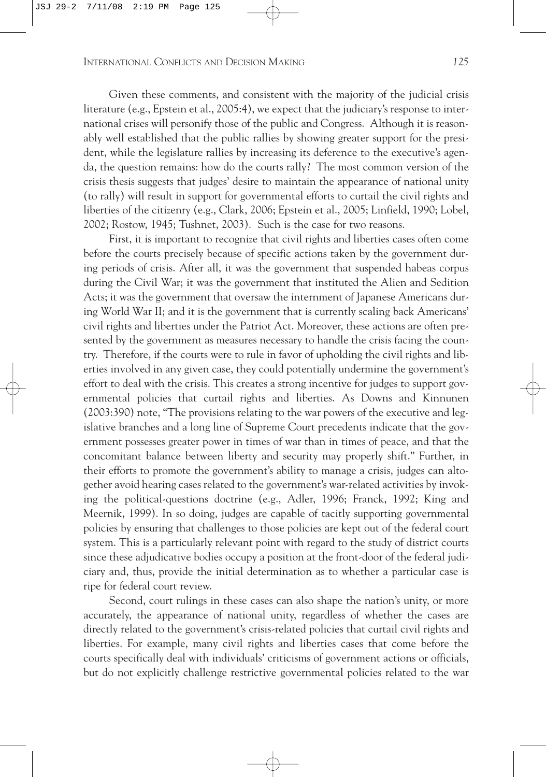Given these comments, and consistent with the majority of the judicial crisis literature (e.g., Epstein et al., 2005:4), we expect that the judiciary's response to international crises will personify those of the public and Congress. Although it is reasonably well established that the public rallies by showing greater support for the president, while the legislature rallies by increasing its deference to the executive's agenda, the question remains: how do the courts rally? The most common version of the crisis thesis suggests that judges' desire to maintain the appearance of national unity (to rally) will result in support for governmental efforts to curtail the civil rights and liberties of the citizenry (e.g., Clark, 2006; Epstein et al., 2005; Linfield, 1990; Lobel, 2002; Rostow, 1945; Tushnet, 2003). Such is the case for two reasons.

First, it is important to recognize that civil rights and liberties cases often come before the courts precisely because of specific actions taken by the government during periods of crisis. After all, it was the government that suspended habeas corpus during the Civil War; it was the government that instituted the Alien and Sedition Acts; it was the government that oversaw the internment of Japanese Americans during World War II; and it is the government that is currently scaling back Americans' civil rights and liberties under the Patriot Act. Moreover, these actions are often presented by the government as measures necessary to handle the crisis facing the country. Therefore, if the courts were to rule in favor of upholding the civil rights and liberties involved in any given case, they could potentially undermine the government's effort to deal with the crisis. This creates a strong incentive for judges to support governmental policies that curtail rights and liberties. As Downs and Kinnunen (2003:390) note, "The provisions relating to the war powers of the executive and legislative branches and a long line of Supreme Court precedents indicate that the government possesses greater power in times of war than in times of peace, and that the concomitant balance between liberty and security may properly shift." Further, in their efforts to promote the government's ability to manage a crisis, judges can altogether avoid hearing cases related to the government's war-related activities by invoking the political-questions doctrine (e.g., Adler, 1996; Franck, 1992; King and Meernik, 1999). In so doing, judges are capable of tacitly supporting governmental policies by ensuring that challenges to those policies are kept out of the federal court system. This is a particularly relevant point with regard to the study of district courts since these adjudicative bodies occupy a position at the front-door of the federal judiciary and, thus, provide the initial determination as to whether a particular case is ripe for federal court review.

Second, court rulings in these cases can also shape the nation's unity, or more accurately, the appearance of national unity, regardless of whether the cases are directly related to the government's crisis-related policies that curtail civil rights and liberties. For example, many civil rights and liberties cases that come before the courts specifically deal with individuals' criticisms of government actions or officials, but do not explicitly challenge restrictive governmental policies related to the war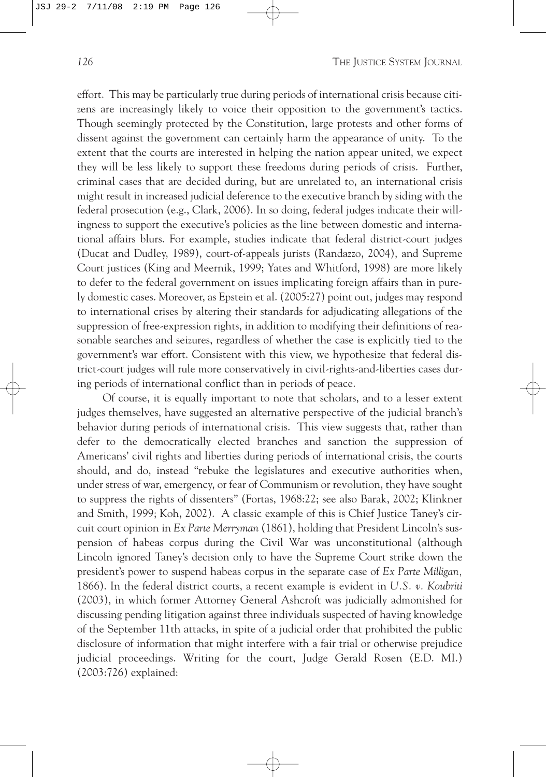effort. This may be particularly true during periods of international crisis because citizens are increasingly likely to voice their opposition to the government's tactics. Though seemingly protected by the Constitution, large protests and other forms of dissent against the government can certainly harm the appearance of unity. To the extent that the courts are interested in helping the nation appear united, we expect they will be less likely to support these freedoms during periods of crisis. Further, criminal cases that are decided during, but are unrelated to, an international crisis might result in increased judicial deference to the executive branch by siding with the federal prosecution (e.g., Clark, 2006). In so doing, federal judges indicate their willingness to support the executive's policies as the line between domestic and international affairs blurs. For example, studies indicate that federal district-court judges (Ducat and Dudley, 1989), court-of-appeals jurists (Randazzo, 2004), and Supreme Court justices (King and Meernik, 1999; Yates and Whitford, 1998) are more likely to defer to the federal government on issues implicating foreign affairs than in purely domestic cases. Moreover, as Epstein et al. (2005:27) point out, judges may respond to international crises by altering their standards for adjudicating allegations of the suppression of free-expression rights, in addition to modifying their definitions of reasonable searches and seizures, regardless of whether the case is explicitly tied to the government's war effort. Consistent with this view, we hypothesize that federal district-court judges will rule more conservatively in civil-rights-and-liberties cases during periods of international conflict than in periods of peace.

Of course, it is equally important to note that scholars, and to a lesser extent judges themselves, have suggested an alternative perspective of the judicial branch's behavior during periods of international crisis. This view suggests that, rather than defer to the democratically elected branches and sanction the suppression of Americans' civil rights and liberties during periods of international crisis, the courts should, and do, instead "rebuke the legislatures and executive authorities when, under stress of war, emergency, or fear of Communism or revolution, they have sought to suppress the rights of dissenters" (Fortas, 1968:22; see also Barak, 2002; Klinkner and Smith, 1999; Koh, 2002). A classic example of this is Chief Justice Taney's circuit court opinion in *Ex Parte Merryman* (1861), holding that President Lincoln's suspension of habeas corpus during the Civil War was unconstitutional (although Lincoln ignored Taney's decision only to have the Supreme Court strike down the president's power to suspend habeas corpus in the separate case of *Ex Parte Milligan,* 1866). In the federal district courts, a recent example is evident in *U.S. v. Koubriti* (2003), in which former Attorney General Ashcroft was judicially admonished for discussing pending litigation against three individuals suspected of having knowledge of the September 11th attacks, in spite of a judicial order that prohibited the public disclosure of information that might interfere with a fair trial or otherwise prejudice judicial proceedings. Writing for the court, Judge Gerald Rosen (E.D. MI.) (2003:726) explained: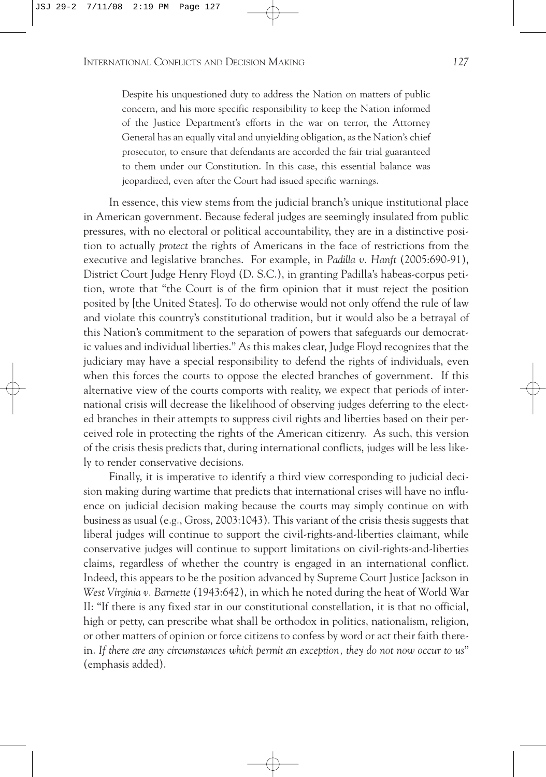Despite his unquestioned duty to address the Nation on matters of public concern, and his more specific responsibility to keep the Nation informed of the Justice Department's efforts in the war on terror, the Attorney General has an equally vital and unyielding obligation, as the Nation's chief prosecutor, to ensure that defendants are accorded the fair trial guaranteed to them under our Constitution. In this case, this essential balance was jeopardized, even after the Court had issued specific warnings.

In essence, this view stems from the judicial branch's unique institutional place in American government. Because federal judges are seemingly insulated from public pressures, with no electoral or political accountability, they are in a distinctive position to actually *protect* the rights of Americans in the face of restrictions from the executive and legislative branches. For example, in *Padilla v. Hanft* (2005:690-91), District Court Judge Henry Floyd (D. S.C.), in granting Padilla's habeas-corpus petition, wrote that "the Court is of the firm opinion that it must reject the position posited by [the United States]. To do otherwise would not only offend the rule of law and violate this country's constitutional tradition, but it would also be a betrayal of this Nation's commitment to the separation of powers that safeguards our democratic values and individual liberties." As this makes clear, Judge Floyd recognizes that the judiciary may have a special responsibility to defend the rights of individuals, even when this forces the courts to oppose the elected branches of government. If this alternative view of the courts comports with reality, we expect that periods of international crisis will decrease the likelihood of observing judges deferring to the elected branches in their attempts to suppress civil rights and liberties based on their perceived role in protecting the rights of the American citizenry. As such, this version of the crisis thesis predicts that, during international conflicts, judges will be less likely to render conservative decisions.

Finally, it is imperative to identify a third view corresponding to judicial decision making during wartime that predicts that international crises will have no influence on judicial decision making because the courts may simply continue on with business as usual (e.g., Gross, 2003:1043). This variant of the crisis thesis suggests that liberal judges will continue to support the civil-rights-and-liberties claimant, while conservative judges will continue to support limitations on civil-rights-and-liberties claims, regardless of whether the country is engaged in an international conflict. Indeed, this appears to be the position advanced by Supreme Court Justice Jackson in *West Virginia v. Barnette* (1943:642), in which he noted during the heat of World War II: "If there is any fixed star in our constitutional constellation, it is that no official, high or petty, can prescribe what shall be orthodox in politics, nationalism, religion, or other matters of opinion or force citizens to confess by word or act their faith therein. *If there are any circumstances which permit an exception, they do not now occur to us*" (emphasis added).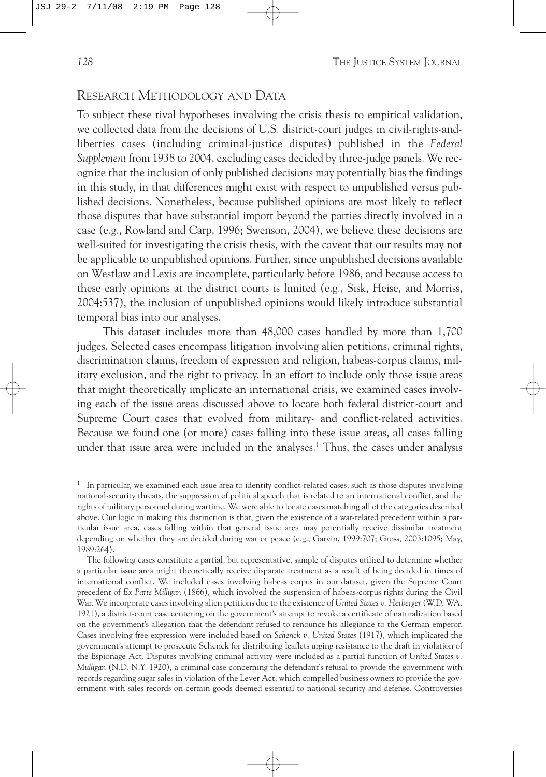## RESEARCH METHODOLOGY AND DATA

To subject these rival hypotheses involving the crisis thesis to empirical validation, we collected data from the decisions of U.S. district-court judges in civil-rights-andliberties cases (including criminal-justice disputes) published in the *Federal Supplement* from 1938 to 2004, excluding cases decided by three-judge panels. We recognize that the inclusion of only published decisions may potentially bias the findings in this study, in that differences might exist with respect to unpublished versus published decisions. Nonetheless, because published opinions are most likely to reflect those disputes that have substantial import beyond the parties directly involved in a case (e.g., Rowland and Carp, 1996; Swenson, 2004), we believe these decisions are well-suited for investigating the crisis thesis, with the caveat that our results may not be applicable to unpublished opinions. Further, since unpublished decisions available on Westlaw and Lexis are incomplete, particularly before 1986, and because access to these early opinions at the district courts is limited (e.g., Sisk, Heise, and Morriss, 2004:537), the inclusion of unpublished opinions would likely introduce substantial temporal bias into our analyses.

This dataset includes more than 48,000 cases handled by more than 1,700 judges. Selected cases encompass litigation involving alien petitions, criminal rights, discrimination claims, freedom of expression and religion, habeas-corpus claims, military exclusion, and the right to privacy. In an effort to include only those issue areas that might theoretically implicate an international crisis, we examined cases involving each of the issue areas discussed above to locate both federal district-court and Supreme Court cases that evolved from military- and conflict-related activities. Because we found one (or more) cases falling into these issue areas, all cases falling under that issue area were included in the analyses.<sup>1</sup> Thus, the cases under analysis

 $1$  In particular, we examined each issue area to identify conflict-related cases, such as those disputes involving national-security threats, the suppression of political speech that is related to an international conflict, and the rights of military personnel during wartime. We were able to locate cases matching all of the categories described above. Our logic in making this distinction is that, given the existence of a war-related precedent within a particular issue area, cases falling within that general issue area may potentially receive dissimilar treatment depending on whether they are decided during war or peace (e.g., Garvin, 1999:707; Gross, 2003:1095; May, 1989:264).

The following cases constitute a partial, but representative, sample of disputes utilized to determine whether a particular issue area might theoretically receive disparate treatment as a result of being decided in times of international conflict. We included cases involving habeas corpus in our dataset, given the Supreme Court precedent of *Ex Parte Milligan* (1866), which involved the suspension of habeas-corpus rights during the Civil War. We incorporate cases involving alien petitions due to the existence of *United States v. Herberger* (W.D. WA. 1921), a district-court case centering on the government's attempt to revoke a certificate of naturalization based on the government's allegation that the defendant refused to renounce his allegiance to the German emperor. Cases involving free expression were included based on *Schenck v. United States* (1917), which implicated the government's attempt to prosecute Schenck for distributing leaflets urging resistance to the draft in violation of the Espionage Act. Disputes involving criminal activity were included as a partial function of *United States v. Mulligan* (N.D. N.Y. 1920), a criminal case concerning the defendant's refusal to provide the government with records regarding sugar sales in violation of the Lever Act, which compelled business owners to provide the government with sales records on certain goods deemed essential to national security and defense. Controversies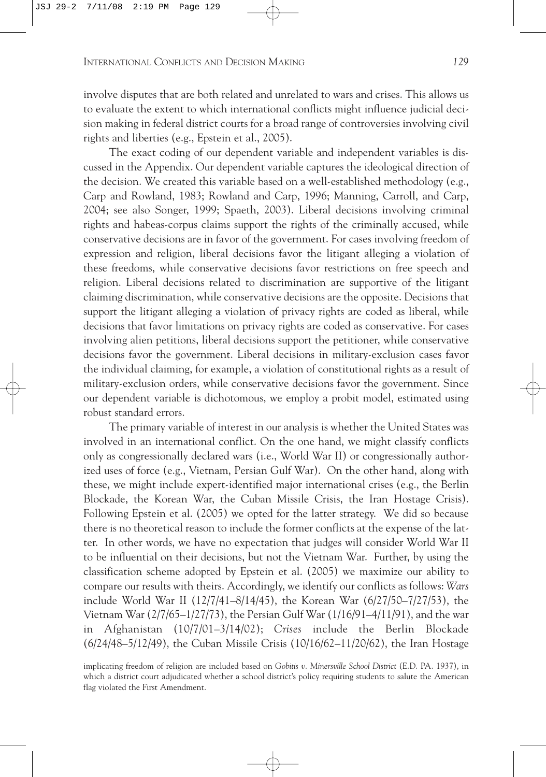involve disputes that are both related and unrelated to wars and crises. This allows us to evaluate the extent to which international conflicts might influence judicial decision making in federal district courts for a broad range of controversies involving civil rights and liberties (e.g., Epstein et al., 2005).

The exact coding of our dependent variable and independent variables is discussed in the Appendix. Our dependent variable captures the ideological direction of the decision. We created this variable based on a well-established methodology (e.g., Carp and Rowland, 1983; Rowland and Carp, 1996; Manning, Carroll, and Carp, 2004; see also Songer, 1999; Spaeth, 2003). Liberal decisions involving criminal rights and habeas-corpus claims support the rights of the criminally accused, while conservative decisions are in favor of the government. For cases involving freedom of expression and religion, liberal decisions favor the litigant alleging a violation of these freedoms, while conservative decisions favor restrictions on free speech and religion. Liberal decisions related to discrimination are supportive of the litigant claiming discrimination, while conservative decisions are the opposite. Decisions that support the litigant alleging a violation of privacy rights are coded as liberal, while decisions that favor limitations on privacy rights are coded as conservative. For cases involving alien petitions, liberal decisions support the petitioner, while conservative decisions favor the government. Liberal decisions in military-exclusion cases favor the individual claiming, for example, a violation of constitutional rights as a result of military-exclusion orders, while conservative decisions favor the government. Since our dependent variable is dichotomous, we employ a probit model, estimated using robust standard errors.

The primary variable of interest in our analysis is whether the United States was involved in an international conflict. On the one hand, we might classify conflicts only as congressionally declared wars (i.e., World War II) or congressionally authorized uses of force (e.g., Vietnam, Persian Gulf War). On the other hand, along with these, we might include expert-identified major international crises (e.g., the Berlin Blockade, the Korean War, the Cuban Missile Crisis, the Iran Hostage Crisis). Following Epstein et al. (2005) we opted for the latter strategy. We did so because there is no theoretical reason to include the former conflicts at the expense of the latter. In other words, we have no expectation that judges will consider World War II to be influential on their decisions, but not the Vietnam War. Further, by using the classification scheme adopted by Epstein et al. (2005) we maximize our ability to compare our results with theirs. Accordingly, we identify our conflicts as follows: *Wars* include World War II (12/7/41–8/14/45), the Korean War (6/27/50–7/27/53), the Vietnam War (2/7/65–1/27/73), the Persian Gulf War (1/16/91–4/11/91), and the war in Afghanistan (10/7/01–3/14/02); *Crises* include the Berlin Blockade (6/24/48–5/12/49), the Cuban Missile Crisis (10/16/62–11/20/62), the Iran Hostage

implicating freedom of religion are included based on *Gobitis v. Minersville School District* (E.D. PA. 1937), in which a district court adjudicated whether a school district's policy requiring students to salute the American flag violated the First Amendment.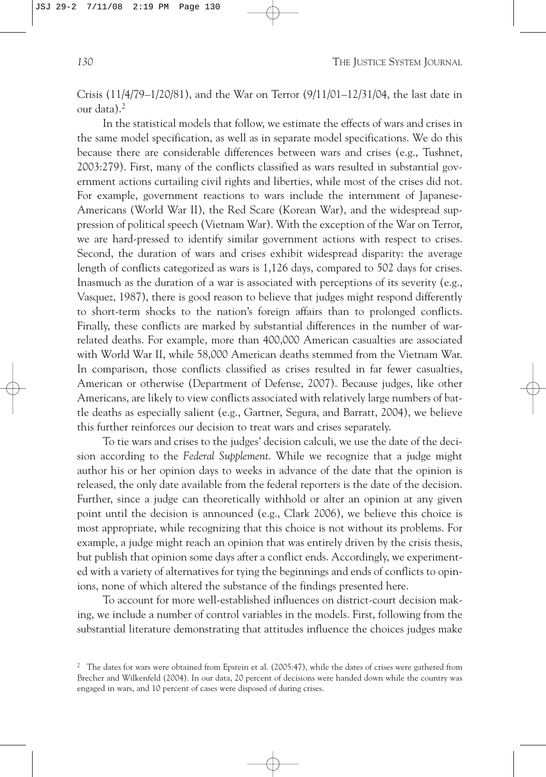Crisis (11/4/79–1/20/81), and the War on Terror (9/11/01–12/31/04, the last date in our data).2

In the statistical models that follow, we estimate the effects of wars and crises in the same model specification, as well as in separate model specifications. We do this because there are considerable differences between wars and crises (e.g., Tushnet, 2003:279). First, many of the conflicts classified as wars resulted in substantial government actions curtailing civil rights and liberties, while most of the crises did not. For example, government reactions to wars include the internment of Japanese-Americans (World War II), the Red Scare (Korean War), and the widespread suppression of political speech (Vietnam War). With the exception of the War on Terror, we are hard-pressed to identify similar government actions with respect to crises. Second, the duration of wars and crises exhibit widespread disparity: the average length of conflicts categorized as wars is 1,126 days, compared to 502 days for crises. Inasmuch as the duration of a war is associated with perceptions of its severity (e.g., Vasquez, 1987), there is good reason to believe that judges might respond differently to short-term shocks to the nation's foreign affairs than to prolonged conflicts. Finally, these conflicts are marked by substantial differences in the number of warrelated deaths. For example, more than 400,000 American casualties are associated with World War II, while 58,000 American deaths stemmed from the Vietnam War. In comparison, those conflicts classified as crises resulted in far fewer casualties, American or otherwise (Department of Defense, 2007). Because judges, like other Americans, are likely to view conflicts associated with relatively large numbers of battle deaths as especially salient (e.g., Gartner, Segura, and Barratt, 2004), we believe this further reinforces our decision to treat wars and crises separately.

To tie wars and crises to the judges' decision calculi, we use the date of the decision according to the *Federal Supplement*. While we recognize that a judge might author his or her opinion days to weeks in advance of the date that the opinion is released, the only date available from the federal reporters is the date of the decision. Further, since a judge can theoretically withhold or alter an opinion at any given point until the decision is announced (e.g., Clark 2006), we believe this choice is most appropriate, while recognizing that this choice is not without its problems. For example, a judge might reach an opinion that was entirely driven by the crisis thesis, but publish that opinion some days after a conflict ends. Accordingly, we experimented with a variety of alternatives for tying the beginnings and ends of conflicts to opinions, none of which altered the substance of the findings presented here.

To account for more well-established influences on district-court decision making, we include a number of control variables in the models. First, following from the substantial literature demonstrating that attitudes influence the choices judges make

<sup>&</sup>lt;sup>2</sup> The dates for wars were obtained from Epstein et al. (2005:47), while the dates of crises were gathered from Brecher and Wilkenfeld (2004). In our data, 20 percent of decisions were handed down while the country was engaged in wars, and 10 percent of cases were disposed of during crises.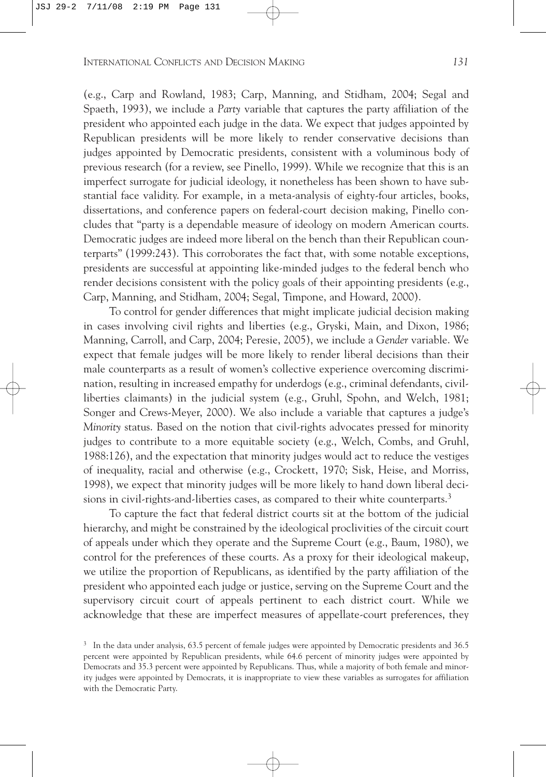(e.g., Carp and Rowland, 1983; Carp, Manning, and Stidham, 2004; Segal and Spaeth, 1993), we include a *Party* variable that captures the party affiliation of the president who appointed each judge in the data. We expect that judges appointed by Republican presidents will be more likely to render conservative decisions than judges appointed by Democratic presidents, consistent with a voluminous body of previous research (for a review, see Pinello, 1999). While we recognize that this is an imperfect surrogate for judicial ideology, it nonetheless has been shown to have substantial face validity. For example, in a meta-analysis of eighty-four articles, books, dissertations, and conference papers on federal-court decision making, Pinello concludes that "party is a dependable measure of ideology on modern American courts. Democratic judges are indeed more liberal on the bench than their Republican counterparts" (1999:243). This corroborates the fact that, with some notable exceptions, presidents are successful at appointing like-minded judges to the federal bench who render decisions consistent with the policy goals of their appointing presidents (e.g., Carp, Manning, and Stidham, 2004; Segal, Timpone, and Howard, 2000).

To control for gender differences that might implicate judicial decision making in cases involving civil rights and liberties (e.g., Gryski, Main, and Dixon, 1986; Manning, Carroll, and Carp, 2004; Peresie, 2005), we include a *Gender* variable. We expect that female judges will be more likely to render liberal decisions than their male counterparts as a result of women's collective experience overcoming discrimination, resulting in increased empathy for underdogs (e.g., criminal defendants, civilliberties claimants) in the judicial system (e.g., Gruhl, Spohn, and Welch, 1981; Songer and Crews-Meyer, 2000). We also include a variable that captures a judge's *Minority* status. Based on the notion that civil-rights advocates pressed for minority judges to contribute to a more equitable society (e.g., Welch, Combs, and Gruhl, 1988:126), and the expectation that minority judges would act to reduce the vestiges of inequality, racial and otherwise (e.g., Crockett, 1970; Sisk, Heise, and Morriss, 1998), we expect that minority judges will be more likely to hand down liberal decisions in civil-rights-and-liberties cases, as compared to their white counterparts.<sup>3</sup>

To capture the fact that federal district courts sit at the bottom of the judicial hierarchy, and might be constrained by the ideological proclivities of the circuit court of appeals under which they operate and the Supreme Court (e.g., Baum, 1980), we control for the preferences of these courts. As a proxy for their ideological makeup, we utilize the proportion of Republicans, as identified by the party affiliation of the president who appointed each judge or justice, serving on the Supreme Court and the supervisory circuit court of appeals pertinent to each district court. While we acknowledge that these are imperfect measures of appellate-court preferences, they

<sup>&</sup>lt;sup>3</sup> In the data under analysis, 63.5 percent of female judges were appointed by Democratic presidents and 36.5 percent were appointed by Republican presidents, while 64.6 percent of minority judges were appointed by Democrats and 35.3 percent were appointed by Republicans. Thus, while a majority of both female and minority judges were appointed by Democrats, it is inappropriate to view these variables as surrogates for affiliation with the Democratic Party.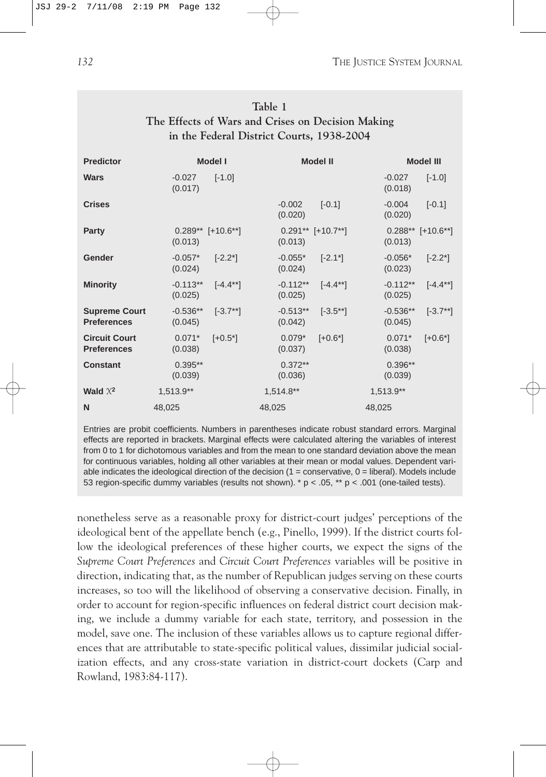# **Table 1 The Effects of Wars and Crises on Decision Making in the Federal District Courts, 1938-2004**

| <b>Predictor</b>                           | <b>Model I</b>                 |            | <b>Model II</b>       |                     | <b>Model III</b>               |            |
|--------------------------------------------|--------------------------------|------------|-----------------------|---------------------|--------------------------------|------------|
| <b>Wars</b>                                | $-0.027$<br>(0.017)            | $[-1.0]$   |                       |                     | $-0.027$<br>(0.018)            | $[-1.0]$   |
| <b>Crises</b>                              |                                |            | $-0.002$<br>(0.020)   | $[-0.1]$            | $-0.004$<br>(0.020)            | $[-0.1]$   |
| Party                                      | $0.289**$ [+10.6**]<br>(0.013) |            | (0.013)               | $0.291**$ [+10.7**] | $0.288**$ [+10.6**]<br>(0.013) |            |
| Gender                                     | $-0.057*$<br>(0.024)           | $[-2.2^*]$ | $-0.055*$<br>(0.024)  | $[-2.1*]$           | $-0.056*$<br>(0.023)           | $[-2.2^*]$ |
| <b>Minority</b>                            | $-0.113**$<br>(0.025)          | $[-4.4**]$ | $-0.112**$<br>(0.025) | $[-4.4**]$          | $-0.112**$<br>(0.025)          | $[-4.4**]$ |
| <b>Supreme Court</b><br><b>Preferences</b> | $-0.536**$<br>(0.045)          | $[-3.7**]$ | $-0.513**$<br>(0.042) | $[-3.5**]$          | $-0.536**$<br>(0.045)          | $[-3.7**]$ |
| <b>Circuit Court</b><br><b>Preferences</b> | $0.071*$<br>(0.038)            | $[-0.5^*]$ | $0.079*$<br>(0.037)   | $[+0.6^*]$          | $0.071*$<br>(0.038)            | $[+0.6^*]$ |
| <b>Constant</b>                            | $0.395**$<br>(0.039)           |            | $0.372**$<br>(0.036)  |                     | $0.396**$<br>(0.039)           |            |
| Wald $X^2$                                 | 1,513.9**                      |            | 1,514.8**             |                     | 1,513.9**                      |            |
| N                                          | 48,025                         |            | 48,025                |                     | 48,025                         |            |

Entries are probit coefficients. Numbers in parentheses indicate robust standard errors. Marginal effects are reported in brackets. Marginal effects were calculated altering the variables of interest from 0 to 1 for dichotomous variables and from the mean to one standard deviation above the mean for continuous variables, holding all other variables at their mean or modal values. Dependent variable indicates the ideological direction of the decision  $(1 = \text{conservative}, 0 = \text{liberal})$ . Models include 53 region-specific dummy variables (results not shown). \* p < .05, \*\* p < .001 (one-tailed tests).

nonetheless serve as a reasonable proxy for district-court judges' perceptions of the ideological bent of the appellate bench (e.g., Pinello, 1999). If the district courts follow the ideological preferences of these higher courts, we expect the signs of the *Supreme Court Preferences* and *Circuit Court Preferences* variables will be positive in direction, indicating that, as the number of Republican judges serving on these courts increases, so too will the likelihood of observing a conservative decision. Finally, in order to account for region-specific influences on federal district court decision making, we include a dummy variable for each state, territory, and possession in the model, save one. The inclusion of these variables allows us to capture regional differences that are attributable to state-specific political values, dissimilar judicial socialization effects, and any cross-state variation in district-court dockets (Carp and Rowland, 1983:84-117).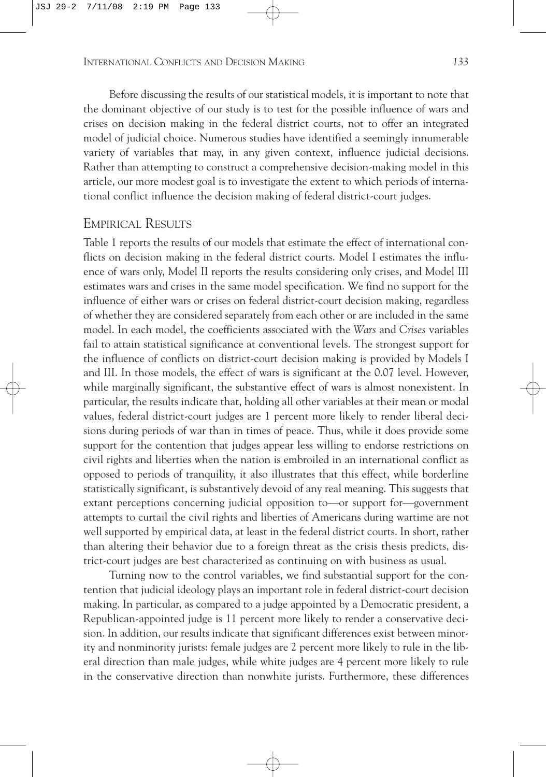Before discussing the results of our statistical models, it is important to note that the dominant objective of our study is to test for the possible influence of wars and crises on decision making in the federal district courts, not to offer an integrated model of judicial choice. Numerous studies have identified a seemingly innumerable variety of variables that may, in any given context, influence judicial decisions. Rather than attempting to construct a comprehensive decision-making model in this article, our more modest goal is to investigate the extent to which periods of international conflict influence the decision making of federal district-court judges.

### EMPIRICAL RESULTS

Table 1 reports the results of our models that estimate the effect of international conflicts on decision making in the federal district courts. Model I estimates the influence of wars only, Model II reports the results considering only crises, and Model III estimates wars and crises in the same model specification. We find no support for the influence of either wars or crises on federal district-court decision making, regardless of whether they are considered separately from each other or are included in the same model. In each model, the coefficients associated with the *Wars* and *Crises* variables fail to attain statistical significance at conventional levels. The strongest support for the influence of conflicts on district-court decision making is provided by Models I and III. In those models, the effect of wars is significant at the 0.07 level. However, while marginally significant, the substantive effect of wars is almost nonexistent. In particular, the results indicate that, holding all other variables at their mean or modal values, federal district-court judges are 1 percent more likely to render liberal decisions during periods of war than in times of peace. Thus, while it does provide some support for the contention that judges appear less willing to endorse restrictions on civil rights and liberties when the nation is embroiled in an international conflict as opposed to periods of tranquility, it also illustrates that this effect, while borderline statistically significant, is substantively devoid of any real meaning. This suggests that extant perceptions concerning judicial opposition to—or support for—government attempts to curtail the civil rights and liberties of Americans during wartime are not well supported by empirical data, at least in the federal district courts. In short, rather than altering their behavior due to a foreign threat as the crisis thesis predicts, district-court judges are best characterized as continuing on with business as usual.

Turning now to the control variables, we find substantial support for the contention that judicial ideology plays an important role in federal district-court decision making. In particular, as compared to a judge appointed by a Democratic president, a Republican-appointed judge is 11 percent more likely to render a conservative decision. In addition, our results indicate that significant differences exist between minority and nonminority jurists: female judges are 2 percent more likely to rule in the liberal direction than male judges, while white judges are 4 percent more likely to rule in the conservative direction than nonwhite jurists. Furthermore, these differences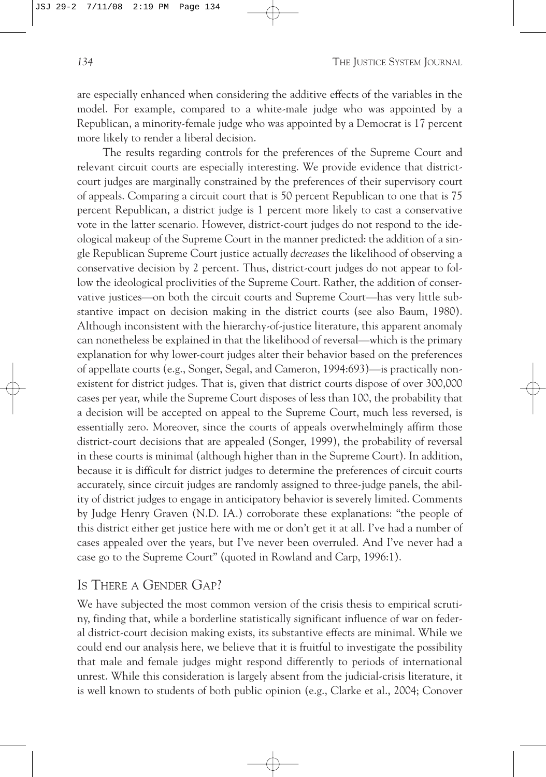are especially enhanced when considering the additive effects of the variables in the model. For example, compared to a white-male judge who was appointed by a Republican, a minority-female judge who was appointed by a Democrat is 17 percent more likely to render a liberal decision.

The results regarding controls for the preferences of the Supreme Court and relevant circuit courts are especially interesting. We provide evidence that districtcourt judges are marginally constrained by the preferences of their supervisory court of appeals. Comparing a circuit court that is 50 percent Republican to one that is 75 percent Republican, a district judge is 1 percent more likely to cast a conservative vote in the latter scenario. However, district-court judges do not respond to the ideological makeup of the Supreme Court in the manner predicted: the addition of a single Republican Supreme Court justice actually *decreases* the likelihood of observing a conservative decision by 2 percent. Thus, district-court judges do not appear to follow the ideological proclivities of the Supreme Court. Rather, the addition of conservative justices—on both the circuit courts and Supreme Court—has very little substantive impact on decision making in the district courts (see also Baum, 1980). Although inconsistent with the hierarchy-of-justice literature, this apparent anomaly can nonetheless be explained in that the likelihood of reversal—which is the primary explanation for why lower-court judges alter their behavior based on the preferences of appellate courts (e.g., Songer, Segal, and Cameron, 1994:693)—is practically nonexistent for district judges. That is, given that district courts dispose of over 300,000 cases per year, while the Supreme Court disposes of less than 100, the probability that a decision will be accepted on appeal to the Supreme Court, much less reversed, is essentially zero. Moreover, since the courts of appeals overwhelmingly affirm those district-court decisions that are appealed (Songer, 1999), the probability of reversal in these courts is minimal (although higher than in the Supreme Court). In addition, because it is difficult for district judges to determine the preferences of circuit courts accurately, since circuit judges are randomly assigned to three-judge panels, the ability of district judges to engage in anticipatory behavior is severely limited. Comments by Judge Henry Graven (N.D. IA.) corroborate these explanations: "the people of this district either get justice here with me or don't get it at all. I've had a number of cases appealed over the years, but I've never been overruled. And I've never had a case go to the Supreme Court" (quoted in Rowland and Carp, 1996:1).

# IS THERE A GENDER GAP?

We have subjected the most common version of the crisis thesis to empirical scrutiny, finding that, while a borderline statistically significant influence of war on federal district-court decision making exists, its substantive effects are minimal. While we could end our analysis here, we believe that it is fruitful to investigate the possibility that male and female judges might respond differently to periods of international unrest. While this consideration is largely absent from the judicial-crisis literature, it is well known to students of both public opinion (e.g., Clarke et al., 2004; Conover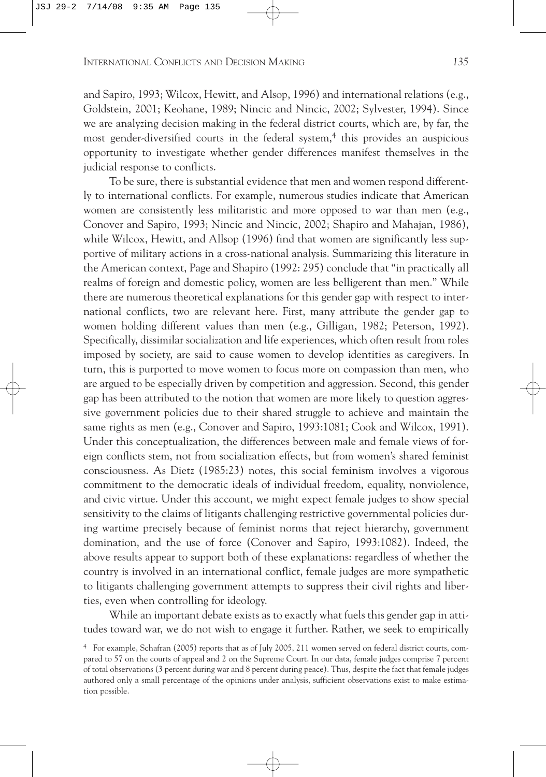and Sapiro, 1993; Wilcox, Hewitt, and Alsop, 1996) and international relations (e.g., Goldstein, 2001; Keohane, 1989; Nincic and Nincic, 2002; Sylvester, 1994). Since we are analyzing decision making in the federal district courts, which are, by far, the most gender-diversified courts in the federal system, $\frac{4}{3}$  this provides an auspicious opportunity to investigate whether gender differences manifest themselves in the judicial response to conflicts.

To be sure, there is substantial evidence that men and women respond differently to international conflicts. For example, numerous studies indicate that American women are consistently less militaristic and more opposed to war than men (e.g., Conover and Sapiro, 1993; Nincic and Nincic, 2002; Shapiro and Mahajan, 1986), while Wilcox, Hewitt, and Allsop (1996) find that women are significantly less supportive of military actions in a cross-national analysis. Summarizing this literature in the American context, Page and Shapiro (1992: 295) conclude that "in practically all realms of foreign and domestic policy, women are less belligerent than men." While there are numerous theoretical explanations for this gender gap with respect to international conflicts, two are relevant here. First, many attribute the gender gap to women holding different values than men (e.g., Gilligan, 1982; Peterson, 1992). Specifically, dissimilar socialization and life experiences, which often result from roles imposed by society, are said to cause women to develop identities as caregivers. In turn, this is purported to move women to focus more on compassion than men, who are argued to be especially driven by competition and aggression. Second, this gender gap has been attributed to the notion that women are more likely to question aggressive government policies due to their shared struggle to achieve and maintain the same rights as men (e.g., Conover and Sapiro, 1993:1081; Cook and Wilcox, 1991). Under this conceptualization, the differences between male and female views of foreign conflicts stem, not from socialization effects, but from women's shared feminist consciousness. As Dietz (1985:23) notes, this social feminism involves a vigorous commitment to the democratic ideals of individual freedom, equality, nonviolence, and civic virtue. Under this account, we might expect female judges to show special sensitivity to the claims of litigants challenging restrictive governmental policies during wartime precisely because of feminist norms that reject hierarchy, government domination, and the use of force (Conover and Sapiro, 1993:1082). Indeed, the above results appear to support both of these explanations: regardless of whether the country is involved in an international conflict, female judges are more sympathetic to litigants challenging government attempts to suppress their civil rights and liberties, even when controlling for ideology.

While an important debate exists as to exactly what fuels this gender gap in attitudes toward war, we do not wish to engage it further. Rather, we seek to empirically

<sup>4</sup> For example, Schafran (2005) reports that as of July 2005, 211 women served on federal district courts, compared to 57 on the courts of appeal and 2 on the Supreme Court. In our data, female judges comprise 7 percent of total observations (3 percent during war and 8 percent during peace). Thus, despite the fact that female judges authored only a small percentage of the opinions under analysis, sufficient observations exist to make estimation possible.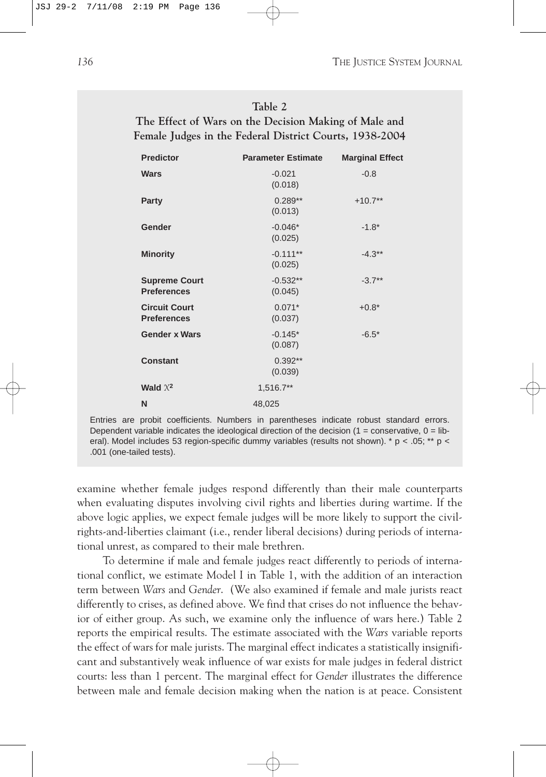| Table 2                                                 |
|---------------------------------------------------------|
| The Effect of Wars on the Decision Making of Male and   |
| Female Judges in the Federal District Courts, 1938-2004 |

| <b>Predictor</b>                           | <b>Parameter Estimate</b> | <b>Marginal Effect</b> |  |
|--------------------------------------------|---------------------------|------------------------|--|
| <b>Wars</b>                                | $-0.021$<br>(0.018)       | $-0.8$                 |  |
| Party                                      | $0.289**$<br>(0.013)      | $+10.7**$              |  |
| Gender                                     | $-0.046*$<br>(0.025)      | $-1.8*$                |  |
| <b>Minority</b>                            | $-0.111**$<br>(0.025)     | $-4.3**$               |  |
| <b>Supreme Court</b><br><b>Preferences</b> | $-0.532**$<br>(0.045)     | $-3.7**$               |  |
| <b>Circuit Court</b><br><b>Preferences</b> | $0.071*$<br>(0.037)       | $+0.8*$                |  |
| <b>Gender x Wars</b>                       | $-0.145*$<br>(0.087)      | $-6.5*$                |  |
| <b>Constant</b>                            | $0.392**$<br>(0.039)      |                        |  |
| Wald $X^2$                                 | 1,516.7**                 |                        |  |
| N                                          | 48,025                    |                        |  |

Entries are probit coefficients. Numbers in parentheses indicate robust standard errors. Dependent variable indicates the ideological direction of the decision  $(1 = \text{conservative}, 0 = \text{lib-})$ eral). Model includes 53 region-specific dummy variables (results not shown).  $* p < .05; ** p <$ .001 (one-tailed tests).

examine whether female judges respond differently than their male counterparts when evaluating disputes involving civil rights and liberties during wartime. If the above logic applies, we expect female judges will be more likely to support the civilrights-and-liberties claimant (i.e., render liberal decisions) during periods of international unrest, as compared to their male brethren.

To determine if male and female judges react differently to periods of international conflict, we estimate Model I in Table 1, with the addition of an interaction term between *Wars* and *Gender*. (We also examined if female and male jurists react differently to crises, as defined above. We find that crises do not influence the behavior of either group. As such, we examine only the influence of wars here.) Table 2 reports the empirical results. The estimate associated with the *Wars* variable reports the effect of wars for male jurists. The marginal effect indicates a statistically insignificant and substantively weak influence of war exists for male judges in federal district courts: less than 1 percent. The marginal effect for *Gender* illustrates the difference between male and female decision making when the nation is at peace. Consistent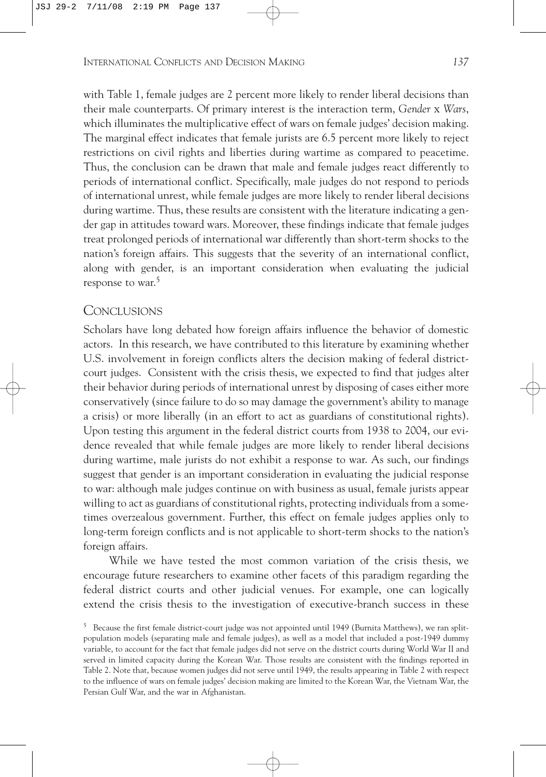with Table 1, female judges are 2 percent more likely to render liberal decisions than their male counterparts. Of primary interest is the interaction term, *Gender* x *Wars*, which illuminates the multiplicative effect of wars on female judges' decision making. The marginal effect indicates that female jurists are 6.5 percent more likely to reject restrictions on civil rights and liberties during wartime as compared to peacetime. Thus, the conclusion can be drawn that male and female judges react differently to periods of international conflict. Specifically, male judges do not respond to periods of international unrest, while female judges are more likely to render liberal decisions during wartime. Thus, these results are consistent with the literature indicating a gender gap in attitudes toward wars. Moreover, these findings indicate that female judges treat prolonged periods of international war differently than short-term shocks to the nation's foreign affairs. This suggests that the severity of an international conflict, along with gender, is an important consideration when evaluating the judicial response to war.<sup>5</sup>

### CONCLUSIONS

Scholars have long debated how foreign affairs influence the behavior of domestic actors. In this research, we have contributed to this literature by examining whether U.S. involvement in foreign conflicts alters the decision making of federal districtcourt judges. Consistent with the crisis thesis, we expected to find that judges alter their behavior during periods of international unrest by disposing of cases either more conservatively (since failure to do so may damage the government's ability to manage a crisis) or more liberally (in an effort to act as guardians of constitutional rights). Upon testing this argument in the federal district courts from 1938 to 2004, our evidence revealed that while female judges are more likely to render liberal decisions during wartime, male jurists do not exhibit a response to war. As such, our findings suggest that gender is an important consideration in evaluating the judicial response to war: although male judges continue on with business as usual, female jurists appear willing to act as guardians of constitutional rights, protecting individuals from a sometimes overzealous government. Further, this effect on female judges applies only to long-term foreign conflicts and is not applicable to short-term shocks to the nation's foreign affairs.

While we have tested the most common variation of the crisis thesis, we encourage future researchers to examine other facets of this paradigm regarding the federal district courts and other judicial venues. For example, one can logically extend the crisis thesis to the investigation of executive-branch success in these

<sup>5</sup> Because the first female district-court judge was not appointed until 1949 (Burnita Matthews), we ran splitpopulation models (separating male and female judges), as well as a model that included a post-1949 dummy variable, to account for the fact that female judges did not serve on the district courts during World War II and served in limited capacity during the Korean War. Those results are consistent with the findings reported in Table 2. Note that, because women judges did not serve until 1949, the results appearing in Table 2 with respect to the influence of wars on female judges' decision making are limited to the Korean War, the Vietnam War, the Persian Gulf War, and the war in Afghanistan.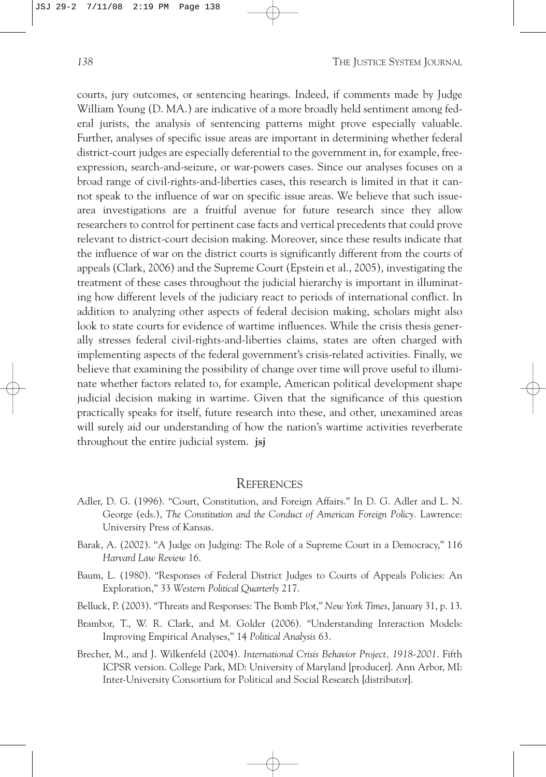courts, jury outcomes, or sentencing hearings. Indeed, if comments made by Judge William Young (D. MA.) are indicative of a more broadly held sentiment among federal jurists, the analysis of sentencing patterns might prove especially valuable. Further, analyses of specific issue areas are important in determining whether federal district-court judges are especially deferential to the government in, for example, freeexpression, search-and-seizure, or war-powers cases. Since our analyses focuses on a broad range of civil-rights-and-liberties cases, this research is limited in that it cannot speak to the influence of war on specific issue areas. We believe that such issuearea investigations are a fruitful avenue for future research since they allow researchers to control for pertinent case facts and vertical precedents that could prove relevant to district-court decision making. Moreover, since these results indicate that the influence of war on the district courts is significantly different from the courts of appeals (Clark, 2006) and the Supreme Court (Epstein et al., 2005), investigating the treatment of these cases throughout the judicial hierarchy is important in illuminating how different levels of the judiciary react to periods of international conflict. In addition to analyzing other aspects of federal decision making, scholars might also look to state courts for evidence of wartime influences. While the crisis thesis generally stresses federal civil-rights-and-liberties claims, states are often charged with implementing aspects of the federal government's crisis-related activities. Finally, we believe that examining the possibility of change over time will prove useful to illuminate whether factors related to, for example, American political development shape judicial decision making in wartime. Given that the significance of this question practically speaks for itself, future research into these, and other, unexamined areas will surely aid our understanding of how the nation's wartime activities reverberate throughout the entire judicial system. **jsj**

#### **REFERENCES**

- Adler, D. G. (1996). "Court, Constitution, and Foreign Affairs." In D. G. Adler and L. N. George (eds.), *The Constitution and the Conduct of American Foreign Policy*. Lawrence: University Press of Kansas.
- Barak, A. (2002). "A Judge on Judging: The Role of a Supreme Court in a Democracy," 116 *Harvard Law Review* 16.
- Baum, L. (1980). "Responses of Federal District Judges to Courts of Appeals Policies: An Exploration," 33 *Western Political Quarterly* 217.
- Belluck, P. (2003). "Threats and Responses: The Bomb Plot," *New York Times*, January 31, p. 13.
- Brambor, T., W. R. Clark, and M. Golder (2006). "Understanding Interaction Models: Improving Empirical Analyses," 14 *Political Analysis* 63.
- Brecher, M., and J. Wilkenfeld (2004). *International Crisis Behavior Project, 1918-2001*. Fifth ICPSR version. College Park, MD: University of Maryland [producer]. Ann Arbor, MI: Inter-University Consortium for Political and Social Research [distributor].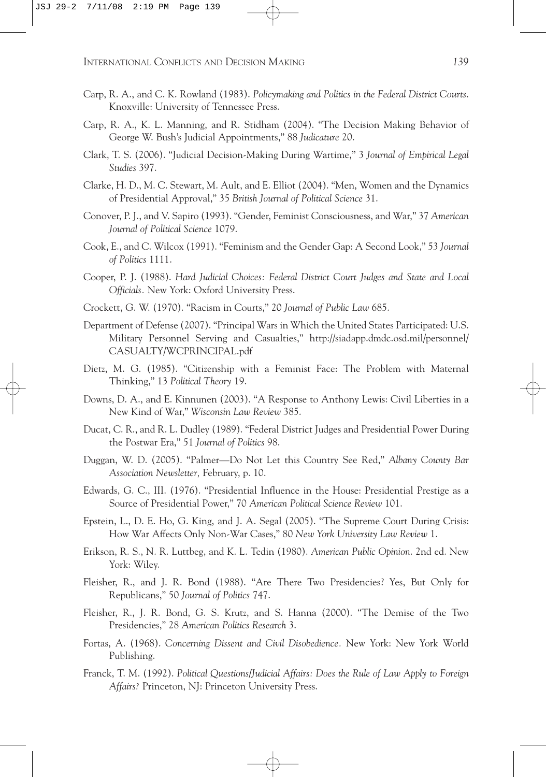- Carp, R. A., and C. K. Rowland (1983). *Policymaking and Politics in the Federal District Courts*. Knoxville: University of Tennessee Press.
- Carp, R. A., K. L. Manning, and R. Stidham (2004). "The Decision Making Behavior of George W. Bush's Judicial Appointments," 88 *Judicature* 20.
- Clark, T. S. (2006). "Judicial Decision-Making During Wartime," 3 *Journal of Empirical Legal Studies* 397.
- Clarke, H. D., M. C. Stewart, M. Ault, and E. Elliot (2004). "Men, Women and the Dynamics of Presidential Approval," 35 *British Journal of Political Science* 31.
- Conover, P. J., and V. Sapiro (1993). "Gender, Feminist Consciousness, and War," 37 *American Journal of Political Science* 1079.
- Cook, E., and C. Wilcox (1991). "Feminism and the Gender Gap: A Second Look," 53 *Journal of Politics* 1111.
- Cooper, P. J. (1988). *Hard Judicial Choices: Federal District Court Judges and State and Local Officials.* New York: Oxford University Press.
- Crockett, G. W. (1970). "Racism in Courts," 20 *Journal of Public Law* 685.
- Department of Defense (2007). "Principal Wars in Which the United States Participated: U.S. Military Personnel Serving and Casualties," http://siadapp.dmdc.osd.mil/personnel/ CASUALTY/WCPRINCIPAL.pdf
- Dietz, M. G. (1985). "Citizenship with a Feminist Face: The Problem with Maternal Thinking," 13 *Political Theory* 19.
- Downs, D. A., and E. Kinnunen (2003). "A Response to Anthony Lewis: Civil Liberties in a New Kind of War," *Wisconsin Law Review* 385.
- Ducat, C. R., and R. L. Dudley (1989). "Federal District Judges and Presidential Power During the Postwar Era," 51 *Journal of Politics* 98.
- Duggan, W. D. (2005). "Palmer—Do Not Let this Country See Red," *Albany County Bar Association Newsletter,* February, p. 10.
- Edwards, G. C., III. (1976). "Presidential Influence in the House: Presidential Prestige as a Source of Presidential Power," 70 *American Political Science Review* 101.
- Epstein, L., D. E. Ho, G. King, and J. A. Segal (2005). "The Supreme Court During Crisis: How War Affects Only Non-War Cases," 80 *New York University Law Review* 1.
- Erikson, R. S., N. R. Luttbeg, and K. L. Tedin (1980). *American Public Opinion*. 2nd ed. New York: Wiley.
- Fleisher, R., and J. R. Bond (1988). "Are There Two Presidencies? Yes, But Only for Republicans," 50 *Journal of Politics* 747.
- Fleisher, R., J. R. Bond, G. S. Krutz, and S. Hanna (2000). "The Demise of the Two Presidencies," 28 *American Politics Research* 3.
- Fortas, A. (1968). *Concerning Dissent and Civil Disobedience.* New York: New York World Publishing.
- Franck, T. M. (1992). *Political Questions/Judicial Affairs: Does the Rule of Law Apply to Foreign Affairs?* Princeton, NJ: Princeton University Press.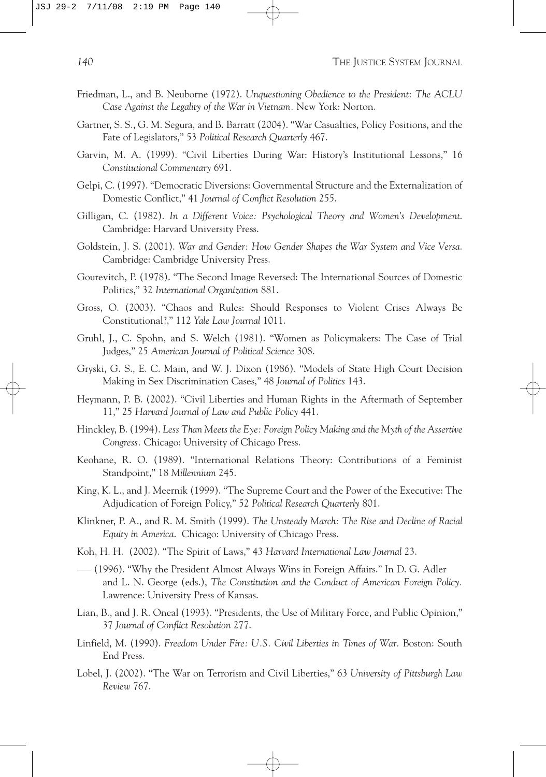- Friedman, L., and B. Neuborne (1972). *Unquestioning Obedience to the President: The ACLU Case Against the Legality of the War in Vietnam.* New York: Norton.
- Gartner, S. S., G. M. Segura, and B. Barratt (2004). "War Casualties, Policy Positions, and the Fate of Legislators," 53 *Political Research Quarterly* 467.
- Garvin, M. A. (1999). "Civil Liberties During War: History's Institutional Lessons," 16 *Constitutional Commentary* 691.
- Gelpi, C. (1997). "Democratic Diversions: Governmental Structure and the Externalization of Domestic Conflict," 41 *Journal of Conflict Resolution* 255.
- Gilligan, C. (1982). *In a Different Voice: Psychological Theory and Women's Development*. Cambridge: Harvard University Press.
- Goldstein, J. S. (2001). *War and Gender: How Gender Shapes the War System and Vice Versa*. Cambridge: Cambridge University Press.
- Gourevitch, P. (1978). "The Second Image Reversed: The International Sources of Domestic Politics," 32 *International Organization* 881.
- Gross, O. (2003). "Chaos and Rules: Should Responses to Violent Crises Always Be Constitutional?," 112 *Yale Law Journal* 1011.
- Gruhl, J., C. Spohn, and S. Welch (1981). "Women as Policymakers: The Case of Trial Judges," 25 *American Journal of Political Science* 308.
- Gryski, G. S., E. C. Main, and W. J. Dixon (1986). "Models of State High Court Decision Making in Sex Discrimination Cases," 48 *Journal of Politics* 143.
- Heymann, P. B. (2002). "Civil Liberties and Human Rights in the Aftermath of September 11," 25 *Harvard Journal of Law and Public Policy* 441.
- Hinckley, B. (1994). *Less Than Meets the Eye: Foreign Policy Making and the Myth of the Assertive Congress.* Chicago: University of Chicago Press.
- Keohane, R. O. (1989). "International Relations Theory: Contributions of a Feminist Standpoint," 18 *Millennium* 245.
- King, K. L., and J. Meernik (1999). "The Supreme Court and the Power of the Executive: The Adjudication of Foreign Policy," 52 *Political Research Quarterly* 801.
- Klinkner, P. A., and R. M. Smith (1999). *The Unsteady March: The Rise and Decline of Racial Equity in America*. Chicago: University of Chicago Press.
- Koh, H. H. (2002). "The Spirit of Laws," 43 *Harvard International Law Journal* 23.
- \_\_\_\_ (1996). "Why the President Almost Always Wins in Foreign Affairs." In D. G. Adler and L. N. George (eds.), *The Constitution and the Conduct of American Foreign Policy.* Lawrence: University Press of Kansas.
- Lian, B., and J. R. Oneal (1993). "Presidents, the Use of Military Force, and Public Opinion," 37 *Journal of Conflict Resolution* 277.
- Linfield, M. (1990). *Freedom Under Fire: U.S. Civil Liberties in Times of War.* Boston: South End Press.
- Lobel, J. (2002). "The War on Terrorism and Civil Liberties," 63 *University of Pittsburgh Law Review* 767.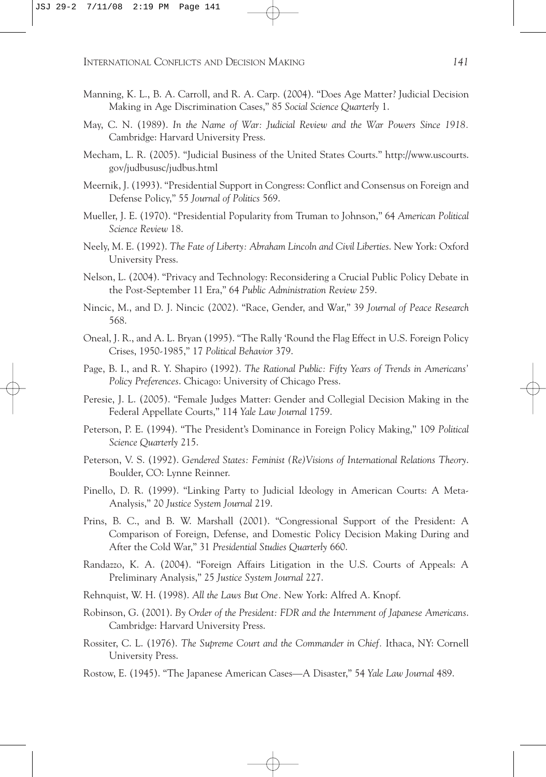- Manning, K. L., B. A. Carroll, and R. A. Carp. (2004). "Does Age Matter? Judicial Decision Making in Age Discrimination Cases," 85 *Social Science Quarterly* 1.
- May, C. N. (1989). *In the Name of War: Judicial Review and the War Powers Since 1918.* Cambridge: Harvard University Press.
- Mecham, L. R. (2005). "Judicial Business of the United States Courts." http://www.uscourts. gov/judbususc/judbus.html
- Meernik, J. (1993). "Presidential Support in Congress: Conflict and Consensus on Foreign and Defense Policy," 55 *Journal of Politics* 569.
- Mueller, J. E. (1970). "Presidential Popularity from Truman to Johnson," 64 *American Political Science Review* 18.
- Neely, M. E. (1992). *The Fate of Liberty: Abraham Lincoln and Civil Liberties*. New York: Oxford University Press.
- Nelson, L. (2004). "Privacy and Technology: Reconsidering a Crucial Public Policy Debate in the Post-September 11 Era," 64 *Public Administration Review* 259.
- Nincic, M., and D. J. Nincic (2002). "Race, Gender, and War," 39 *Journal of Peace Research* 568.
- Oneal, J. R., and A. L. Bryan (1995). "The Rally 'Round the Flag Effect in U.S. Foreign Policy Crises, 1950-1985," 17 *Political Behavior* 379.
- Page, B. I., and R. Y. Shapiro (1992). *The Rational Public: Fifty Years of Trends in Americans' Policy Preferences*. Chicago: University of Chicago Press.
- Peresie, J. L. (2005). "Female Judges Matter: Gender and Collegial Decision Making in the Federal Appellate Courts," 114 *Yale Law Journal* 1759.
- Peterson, P. E. (1994). "The President's Dominance in Foreign Policy Making," 109 *Political Science Quarterly* 215.
- Peterson, V. S. (1992). *Gendered States: Feminist (Re)Visions of International Relations Theory*. Boulder, CO: Lynne Reinner.
- Pinello, D. R. (1999). "Linking Party to Judicial Ideology in American Courts: A Meta-Analysis," 20 *Justice System Journal* 219.
- Prins, B. C., and B. W. Marshall (2001). "Congressional Support of the President: A Comparison of Foreign, Defense, and Domestic Policy Decision Making During and After the Cold War," 31 *Presidential Studies Quarterly* 660.
- Randazzo, K. A. (2004). "Foreign Affairs Litigation in the U.S. Courts of Appeals: A Preliminary Analysis," 25 *Justice System Journal* 227.
- Rehnquist, W. H. (1998). *All the Laws But One.* New York: Alfred A. Knopf.
- Robinson, G. (2001). *By Order of the President: FDR and the Internment of Japanese Americans*. Cambridge: Harvard University Press.
- Rossiter, C. L. (1976). *The Supreme Court and the Commander in Chief.* Ithaca, NY: Cornell University Press.
- Rostow, E. (1945). "The Japanese American Cases—A Disaster," 54 *Yale Law Journal* 489.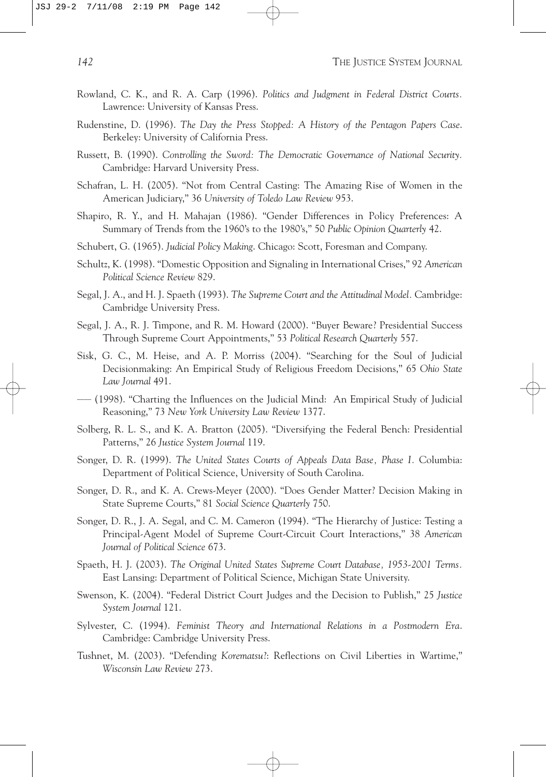- Rowland, C. K., and R. A. Carp (1996). *Politics and Judgment in Federal District Courts.* Lawrence: University of Kansas Press.
- Rudenstine, D. (1996). *The Day the Press Stopped: A History of the Pentagon Papers Case*. Berkeley: University of California Press.
- Russett, B. (1990). *Controlling the Sword: The Democratic Governance of National Security.* Cambridge: Harvard University Press.
- Schafran, L. H. (2005). "Not from Central Casting: The Amazing Rise of Women in the American Judiciary," 36 *University of Toledo Law Review* 953.
- Shapiro, R. Y., and H. Mahajan (1986). "Gender Differences in Policy Preferences: A Summary of Trends from the 1960's to the 1980's," 50 *Public Opinion Quarterly* 42.
- Schubert, G. (1965). *Judicial Policy Making*. Chicago: Scott, Foresman and Company.
- Schultz, K. (1998). "Domestic Opposition and Signaling in International Crises," 92 *American Political Science Review* 829.
- Segal, J. A., and H. J. Spaeth (1993). *The Supreme Court and the Attitudinal Model.* Cambridge: Cambridge University Press.
- Segal, J. A., R. J. Timpone, and R. M. Howard (2000). "Buyer Beware? Presidential Success Through Supreme Court Appointments," 53 *Political Research Quarterly* 557.
- Sisk, G. C., M. Heise, and A. P. Morriss (2004). "Searching for the Soul of Judicial Decisionmaking: An Empirical Study of Religious Freedom Decisions," 65 *Ohio State Law Journal* 491.
- \_\_\_\_ (1998). "Charting the Influences on the Judicial Mind: An Empirical Study of Judicial Reasoning," 73 *New York University Law Review* 1377.
- Solberg, R. L. S., and K. A. Bratton (2005). "Diversifying the Federal Bench: Presidential Patterns," 26 *Justice System Journal* 119.
- Songer, D. R. (1999). *The United States Courts of Appeals Data Base, Phase I.* Columbia: Department of Political Science, University of South Carolina.
- Songer, D. R., and K. A. Crews-Meyer (2000). "Does Gender Matter? Decision Making in State Supreme Courts," 81 *Social Science Quarterly* 750.
- Songer, D. R., J. A. Segal, and C. M. Cameron (1994). "The Hierarchy of Justice: Testing a Principal-Agent Model of Supreme Court-Circuit Court Interactions," 38 *American Journal of Political Science* 673.
- Spaeth, H. J. (2003). *The Original United States Supreme Court Database, 1953-2001 Terms.* East Lansing: Department of Political Science, Michigan State University.
- Swenson, K. (2004). "Federal District Court Judges and the Decision to Publish," 25 *Justice System Journal* 121.
- Sylvester, C. (1994). *Feminist Theory and International Relations in a Postmodern Era*. Cambridge: Cambridge University Press.
- Tushnet, M. (2003). "Defending *Korematsu*?: Reflections on Civil Liberties in Wartime," *Wisconsin Law Review* 273.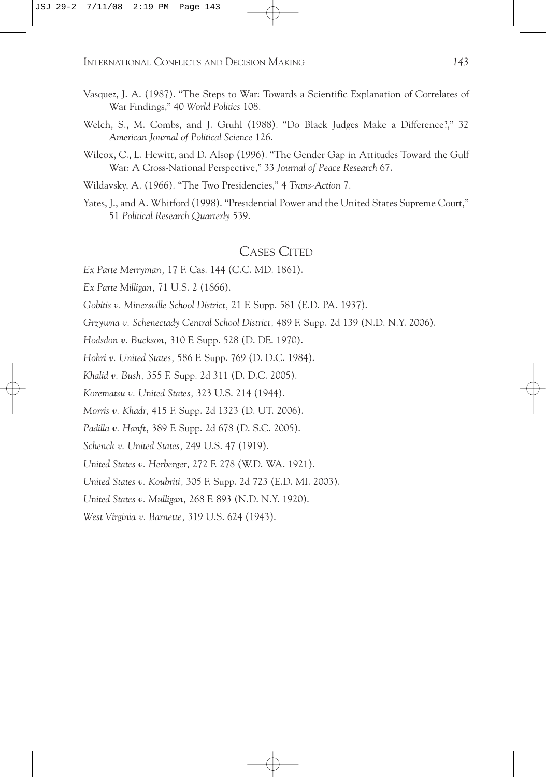- Vasquez, J. A. (1987). "The Steps to War: Towards a Scientific Explanation of Correlates of War Findings," 40 *World Politics* 108.
- Welch, S., M. Combs, and J. Gruhl (1988). "Do Black Judges Make a Difference?," 32 *American Journal of Political Science* 126.
- Wilcox, C., L. Hewitt, and D. Alsop (1996). "The Gender Gap in Attitudes Toward the Gulf War: A Cross-National Perspective," 33 *Journal of Peace Research* 67.

Wildavsky, A. (1966). "The Two Presidencies," 4 *Trans-Action* 7.

Yates, J., and A. Whitford (1998). "Presidential Power and the United States Supreme Court," 51 *Political Research Quarterly* 539.

## CASES CITED

*Ex Parte Merryman,* 17 F. Cas. 144 (C.C. MD. 1861).

*Ex Parte Milligan,* 71 U.S. 2 (1866).

*Gobitis v. Minersville School District,* 21 F. Supp. 581 (E.D. PA. 1937).

*Grzywna v. Schenectady Central School District,* 489 F. Supp. 2d 139 (N.D. N.Y. 2006).

*Hodsdon v. Buckson,* 310 F. Supp. 528 (D. DE. 1970).

*Hohri v. United States,* 586 F. Supp. 769 (D. D.C. 1984).

*Khalid v. Bush,* 355 F. Supp. 2d 311 (D. D.C. 2005).

*Korematsu v. United States,* 323 U.S. 214 (1944).

*Morris v. Khadr,* 415 F. Supp. 2d 1323 (D. UT. 2006).

*Padilla v. Hanft,* 389 F. Supp. 2d 678 (D. S.C. 2005).

*Schenck v. United States,* 249 U.S. 47 (1919).

*United States v. Herberger,* 272 F. 278 (W.D. WA. 1921).

*United States v. Koubriti,* 305 F. Supp. 2d 723 (E.D. MI. 2003).

*United States v. Mulligan,* 268 F. 893 (N.D. N.Y. 1920).

*West Virginia v. Barnette,* 319 U.S. 624 (1943).